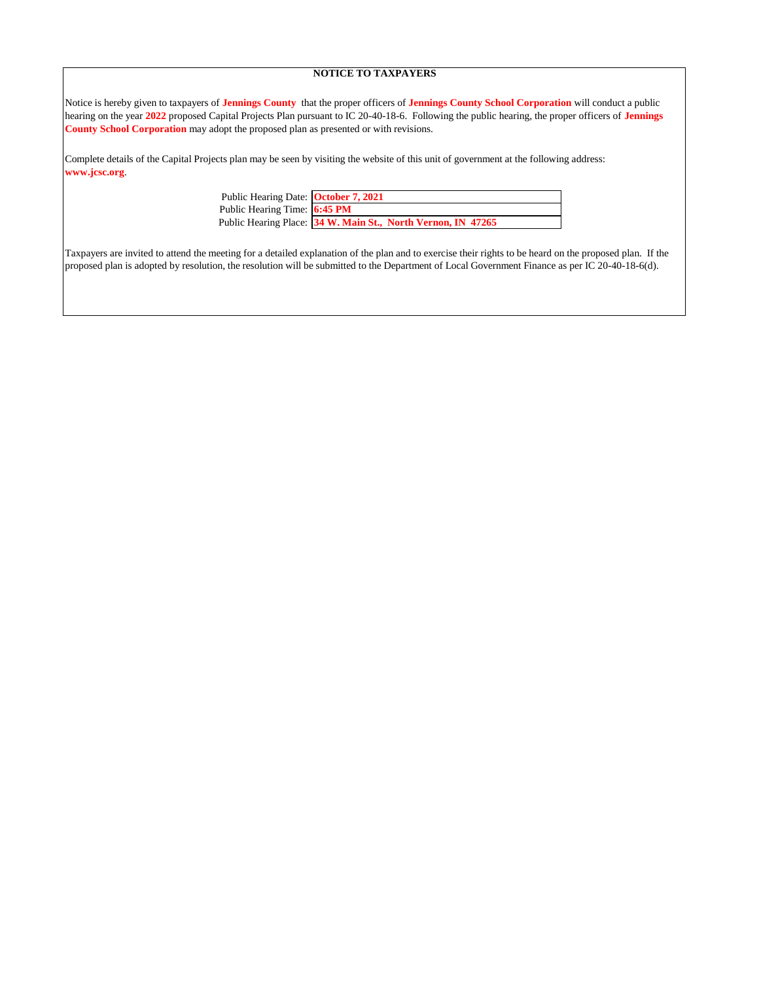## **NOTICE TO TAXPAYERS**

Notice is hereby given to taxpayers of **Jennings County** that the proper officers of **Jennings County School Corporation** will conduct a public hearing on the year **2022** proposed Capital Projects Plan pursuant to IC 20-40-18-6. Following the public hearing, the proper officers of **Jennings County School Corporation** may adopt the proposed plan as presented or with revisions.

Complete details of the Capital Projects plan may be seen by visiting the website of this unit of government at the following address: **www.jcsc.org**.

| Public Hearing Date: October 7, 2021 |                                                              |
|--------------------------------------|--------------------------------------------------------------|
| Public Hearing Time: 6:45 PM         |                                                              |
|                                      | Public Hearing Place: 34 W. Main St., North Vernon, IN 47265 |

Taxpayers are invited to attend the meeting for a detailed explanation of the plan and to exercise their rights to be heard on the proposed plan. If the proposed plan is adopted by resolution, the resolution will be submitted to the Department of Local Government Finance as per IC 20-40-18-6(d).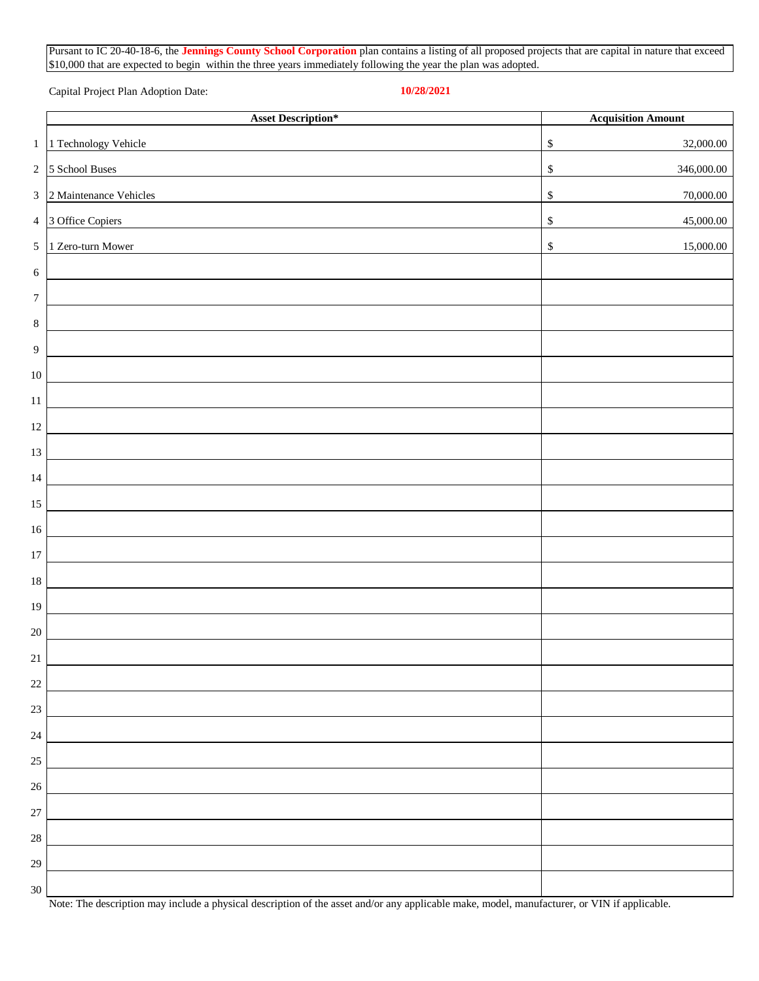Capital Project Plan Adoption Date:

# **10/28/2021**

|                  | <b>Asset Description*</b> | <b>Acquisition Amount</b> |
|------------------|---------------------------|---------------------------|
| $1\,$            | 1 Technology Vehicle      | 32,000.00<br>$\mathbb{S}$ |
| $\sqrt{2}$       | 5 School Buses            | 346,000.00<br>\$          |
| $\sqrt{3}$       | 2 Maintenance Vehicles    | 70,000.00<br>\$           |
|                  | 4 3 Office Copiers        | 45,000.00<br>$\mathbb{S}$ |
| $\sqrt{5}$       | 1 Zero-turn Mower         | 15,000.00<br>\$           |
| $\sqrt{6}$       |                           |                           |
| $\boldsymbol{7}$ |                           |                           |
| $\,8\,$          |                           |                           |
| $\boldsymbol{9}$ |                           |                           |
| $10\,$           |                           |                           |
| 11               |                           |                           |
| $12\,$           |                           |                           |
| 13               |                           |                           |
| 14               |                           |                           |
| 15               |                           |                           |
| $16\,$           |                           |                           |
| 17               |                           |                           |
| $18\,$           |                           |                           |
| 19               |                           |                           |
| 20               |                           |                           |
| $21\,$           |                           |                           |
| 22               |                           |                           |
| 23               |                           |                           |
| 24               |                           |                           |
| 25               |                           |                           |
| $26\,$           |                           |                           |
| 27               |                           |                           |
| 28               |                           |                           |
| 29               |                           |                           |
| 30               |                           |                           |

Note: The description may include a physical description of the asset and/or any applicable make, model, manufacturer, or VIN if applicable.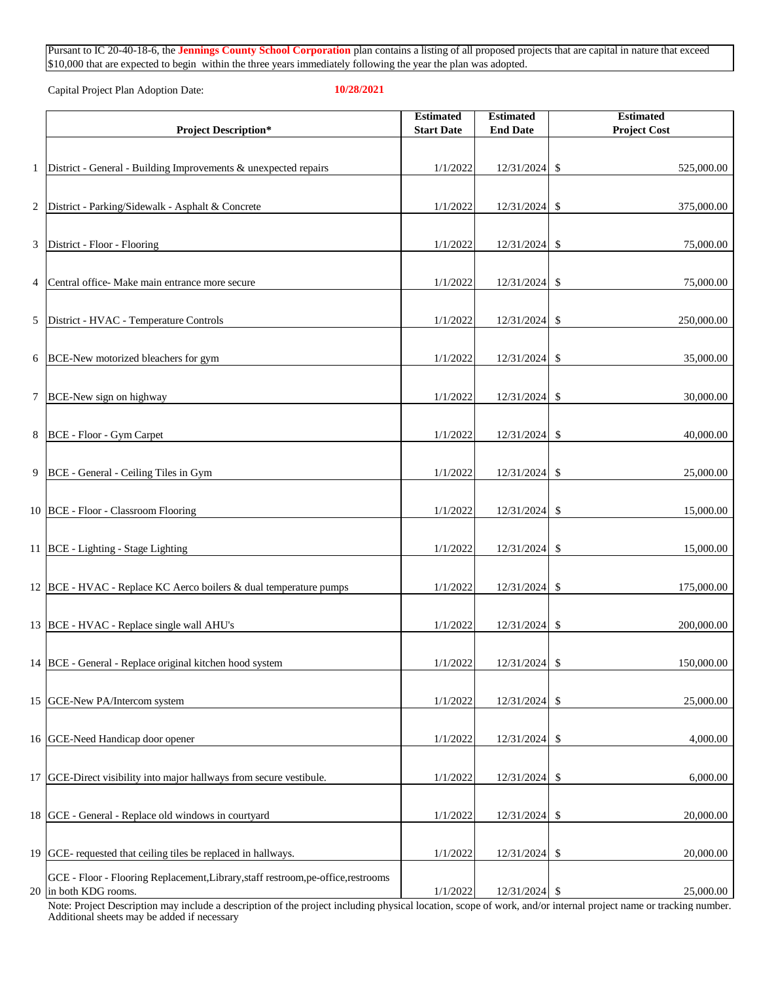Capital Project Plan Adoption Date: **10/28/2021**

|    |                                                                                   | <b>Estimated</b>  | <b>Estimated</b> | <b>Estimated</b>           |
|----|-----------------------------------------------------------------------------------|-------------------|------------------|----------------------------|
|    | <b>Project Description*</b>                                                       | <b>Start Date</b> | <b>End Date</b>  | <b>Project Cost</b>        |
|    | 1   District - General - Building Improvements & unexpected repairs               | 1/1/2022          | 12/31/2024 \$    | 525,000.00                 |
| 2  | District - Parking/Sidewalk - Asphalt & Concrete                                  | 1/1/2022          | 12/31/2024 \$    | 375,000.00                 |
| 3  | District - Floor - Flooring                                                       | 1/1/2022          | $12/31/2024$ \$  | 75,000.00                  |
| 4  | Central office-Make main entrance more secure                                     | 1/1/2022          | $12/31/2024$ \$  | 75,000.00                  |
| 5  | District - HVAC - Temperature Controls                                            | 1/1/2022          | $12/31/2024$ \$  | 250,000.00                 |
|    |                                                                                   |                   |                  |                            |
| 6  | BCE-New motorized bleachers for gym                                               | 1/1/2022          | $12/31/2024$ \$  | 35,000.00                  |
| 7  | BCE-New sign on highway                                                           | 1/1/2022          | 12/31/2024 \$    | 30,000.00                  |
| 8  | BCE - Floor - Gym Carpet                                                          | 1/1/2022          | $12/31/2024$ \$  | 40,000.00                  |
| 9  | BCE - General - Ceiling Tiles in Gym                                              | 1/1/2022          | 12/31/2024 \$    | 25,000.00                  |
|    | 10 BCE - Floor - Classroom Flooring                                               | 1/1/2022          | 12/31/2024 \$    | 15,000.00                  |
|    | 11 BCE - Lighting - Stage Lighting                                                | 1/1/2022          | $12/31/2024$ \$  | 15,000.00                  |
|    | 12 BCE - HVAC - Replace KC Aerco boilers & dual temperature pumps                 | 1/1/2022          | $12/31/2024$ \$  | 175,000.00                 |
|    | 13 BCE - HVAC - Replace single wall AHU's                                         | 1/1/2022          | $12/31/2024$ \$  | 200,000.00                 |
|    | 14 BCE - General - Replace original kitchen hood system                           | 1/1/2022          | $12/31/2024$ \$  | 150,000,00                 |
|    | 15 GCE-New PA/Intercom system                                                     | 1/1/2022          | 12/31/2024       | 25,000.00<br>-\$           |
|    | 16 GCE-Need Handicap door opener                                                  | 1/1/2022          | 12/31/2024       | 4,000.00<br>\$             |
|    | 17 GCE-Direct visibility into major hallways from secure vestibule.               | 1/1/2022          | 12/31/2024       | 6,000.00<br>\$             |
|    | 18 GCE - General - Replace old windows in courtyard                               | 1/1/2022          | 12/31/2024       | $\mathcal{S}$<br>20,000.00 |
|    | 19 $ GCE$ - requested that ceiling tiles be replaced in hallways.                 | 1/1/2022          | 12/31/2024       | 20,000.00<br>\$            |
|    | GCE - Floor - Flooring Replacement, Library, staff restroom, pe-office, restrooms |                   |                  |                            |
| 20 | in both KDG rooms.                                                                | 1/1/2022          | 12/31/2024 \$    | 25,000.00                  |

Additional sheets may be added if necessary Note: Project Description may include a description of the project including physical location, scope of work, and/or internal project name or tracking number.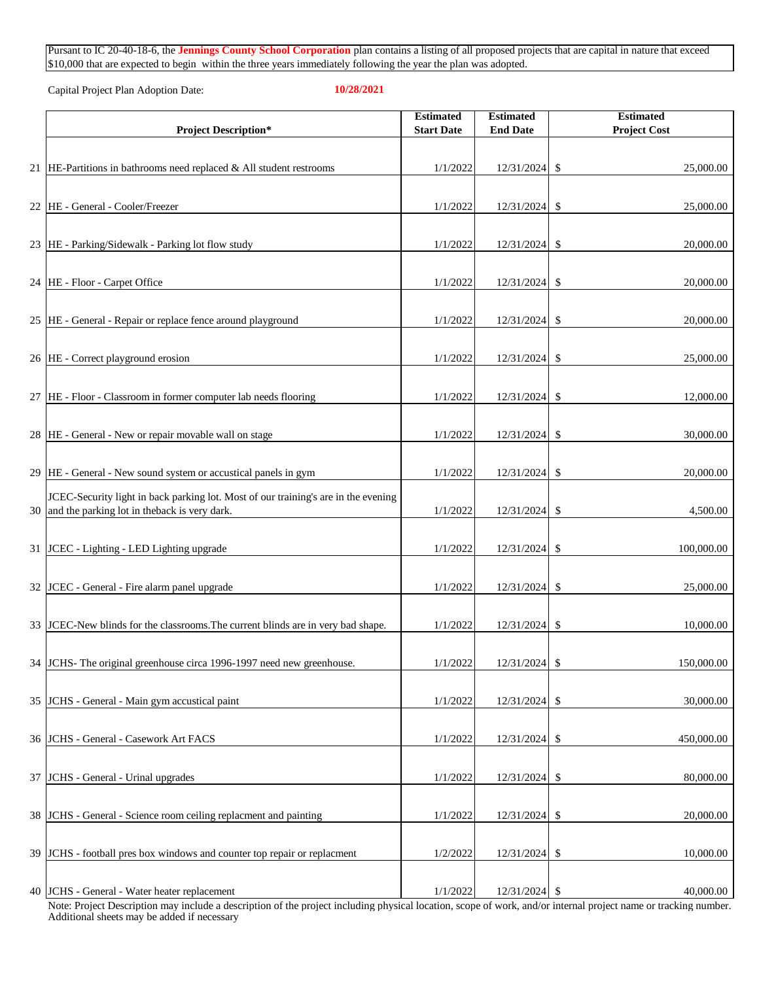Capital Project Plan Adoption Date: **10/28/2021**

|                                                                                    | <b>Estimated</b>  | <b>Estimated</b> | <b>Estimated</b>    |
|------------------------------------------------------------------------------------|-------------------|------------------|---------------------|
| <b>Project Description*</b>                                                        | <b>Start Date</b> | <b>End Date</b>  | <b>Project Cost</b> |
| 21   HE-Partitions in bathrooms need replaced $\&$ All student restrooms           | 1/1/2022          | $12/31/2024$ \$  | 25,000.00           |
|                                                                                    |                   |                  |                     |
| 22 HE - General - Cooler/Freezer                                                   | 1/1/2022          | 12/31/2024 \$    | 25,000.00           |
| 23 HE - Parking/Sidewalk - Parking lot flow study                                  | 1/1/2022          | 12/31/2024       | 20,000.00<br>-\$    |
|                                                                                    |                   |                  |                     |
| 24 HE - Floor - Carpet Office                                                      | 1/1/2022          | 12/31/2024 \$    | 20,000.00           |
| 25  HE - General - Repair or replace fence around playground                       | 1/1/2022          | 12/31/2024 \$    | 20,000.00           |
| 26 HE - Correct playground erosion                                                 | 1/1/2022          | 12/31/2024 \$    | 25,000.00           |
|                                                                                    |                   |                  |                     |
| 27 HE - Floor - Classroom in former computer lab needs flooring                    | 1/1/2022          | 12/31/2024       | 12,000.00<br>-\$    |
| 28 HE - General - New or repair movable wall on stage                              | 1/1/2022          | 12/31/2024       | 30,000.00<br>-\$    |
|                                                                                    |                   |                  |                     |
| 29 HE - General - New sound system or accustical panels in gym                     | 1/1/2022          | $12/31/2024$ \$  | 20,000.00           |
| JCEC-Security light in back parking lot. Most of our training's are in the evening |                   |                  |                     |
| 30 and the parking lot in the back is very dark.                                   | 1/1/2022          | 12/31/2024 \$    | 4,500.00            |
| 31 JCEC - Lighting - LED Lighting upgrade                                          | 1/1/2022          | 12/31/2024       | 100,000.00<br>-S    |
| 32 JCEC - General - Fire alarm panel upgrade                                       | 1/1/2022          | 12/31/2024 \$    | 25,000.00           |
|                                                                                    |                   |                  |                     |
| 33 JCEC-New blinds for the classrooms. The current blinds are in very bad shape.   | 1/1/2022          | $12/31/2024$ \$  | 10,000.00           |
| 34 JCHS- The original greenhouse circa 1996-1997 need new greenhouse.              | 1/1/2022          | $12/31/2024$ \$  | 150,000.00          |
|                                                                                    |                   |                  |                     |
| 35 JCHS - General - Main gym accustical paint                                      | 1/1/2022          | 12/31/2024 \$    | 30,000.00           |
| 36 JCHS - General - Casework Art FACS                                              | 1/1/2022          | 12/31/2024       | 450,000.00<br>-\$   |
|                                                                                    |                   |                  |                     |
| 37 JCHS - General - Urinal upgrades                                                | 1/1/2022          | 12/31/2024 \$    | 80,000.00           |
| 38 JCHS - General - Science room ceiling replacment and painting                   | 1/1/2022          | 12/31/2024 \$    | 20,000.00           |
|                                                                                    |                   |                  |                     |
| 39 JCHS - football pres box windows and counter top repair or replacment           | 1/2/2022          | $12/31/2024$ \$  | 10,000.00           |
| 40 JCHS - General - Water heater replacement                                       | 1/1/2022          | $12/31/2024$ \$  | 40,000.00           |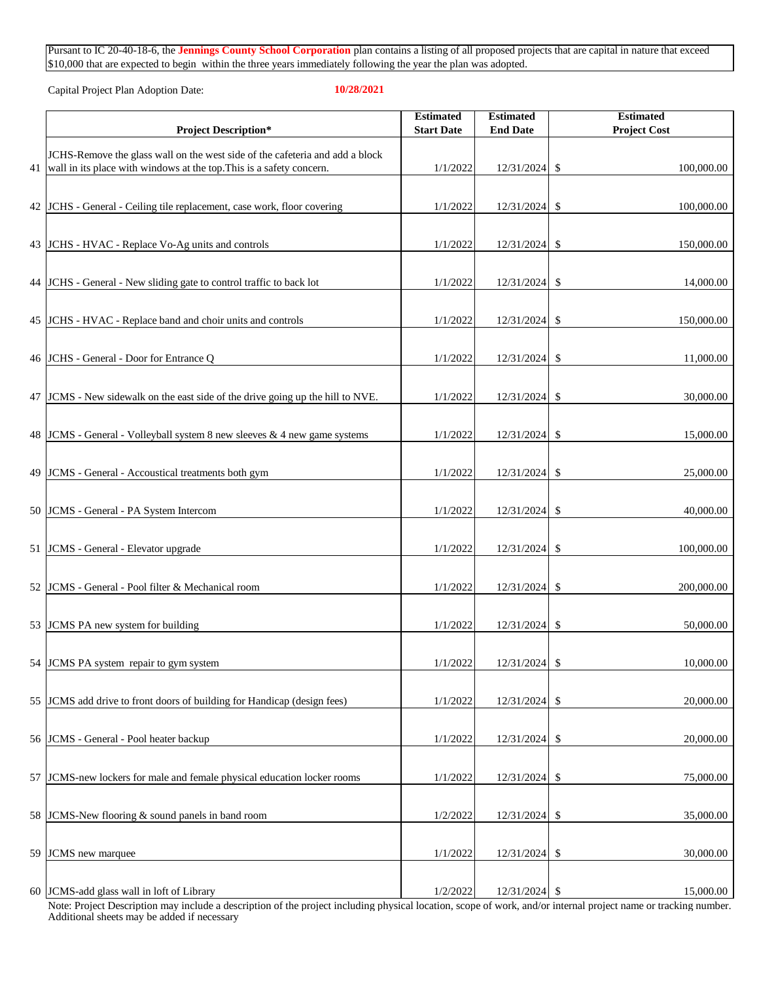Capital Project Plan Adoption Date: **10/28/2021**

|    |                                                                                                                                                      | <b>Estimated</b>  | <b>Estimated</b> | <b>Estimated</b>    |
|----|------------------------------------------------------------------------------------------------------------------------------------------------------|-------------------|------------------|---------------------|
|    | <b>Project Description*</b>                                                                                                                          | <b>Start Date</b> | <b>End Date</b>  | <b>Project Cost</b> |
| 41 | JCHS-Remove the glass wall on the west side of the cafeteria and add a block<br>wall in its place with windows at the top. This is a safety concern. | 1/1/2022          | 12/31/2024 \$    | 100,000.00          |
|    | 42 JCHS - General - Ceiling tile replacement, case work, floor covering                                                                              | 1/1/2022          | 12/31/2024       | 100,000.00<br>-\$   |
|    | 43 JCHS - HVAC - Replace Vo-Ag units and controls                                                                                                    | 1/1/2022          | 12/31/2024       | 150,000.00<br>-S    |
|    | 44 JCHS - General - New sliding gate to control traffic to back lot                                                                                  | 1/1/2022          | $12/31/2024$ \$  | 14,000.00           |
|    | 45 JCHS - HVAC - Replace band and choir units and controls                                                                                           | 1/1/2022          | 12/31/2024 \$    | 150,000.00          |
|    | 46 JCHS - General - Door for Entrance Q                                                                                                              | 1/1/2022          | 12/31/2024       | -\$<br>11,000.00    |
|    | 47 JCMS - New sidewalk on the east side of the drive going up the hill to NVE.                                                                       | 1/1/2022          | 12/31/2024       | 30,000.00<br>\$     |
|    | 48 JCMS - General - Volleyball system 8 new sleeves & 4 new game systems                                                                             | 1/1/2022          | 12/31/2024 \$    | 15,000.00           |
|    | 49 JCMS - General - Accoustical treatments both gym                                                                                                  | 1/1/2022          | 12/31/2024 \$    | 25,000.00           |
|    | 50 JCMS - General - PA System Intercom                                                                                                               | 1/1/2022          | 12/31/2024       | -S<br>40,000.00     |
|    | 51 JCMS - General - Elevator upgrade                                                                                                                 | 1/1/2022          | 12/31/2024       | 100,000.00<br>-S    |
|    | 52 JCMS - General - Pool filter & Mechanical room                                                                                                    | 1/1/2022          | $12/31/2024$ \$  | 200,000.00          |
|    | 53 JCMS PA new system for building                                                                                                                   | 1/1/2022          | $12/31/2024$ \$  | 50,000.00           |
|    | 54 JCMS PA system repair to gym system                                                                                                               | 1/1/2022          | $12/31/2024$ \$  | 10,000.00           |
|    | 55 JCMS add drive to front doors of building for Handicap (design fees)                                                                              | 1/1/2022          | 12/31/2024 \$    | 20,000.00           |
|    | 56 JCMS - General - Pool heater backup                                                                                                               | 1/1/2022          | $12/31/2024$ \$  | 20,000.00           |
|    | 57 JCMS-new lockers for male and female physical education locker rooms                                                                              | 1/1/2022          | 12/31/2024 \$    | 75,000.00           |
|    | 58 JCMS-New flooring & sound panels in band room                                                                                                     | 1/2/2022          | 12/31/2024 \$    | 35,000.00           |
|    | 59 JCMS new marquee                                                                                                                                  | 1/1/2022          | 12/31/2024       | 30,000.00<br>\$     |
|    | 60 JCMS-add glass wall in loft of Library                                                                                                            | 1/2/2022          | $12/31/2024$ \$  | 15,000.00           |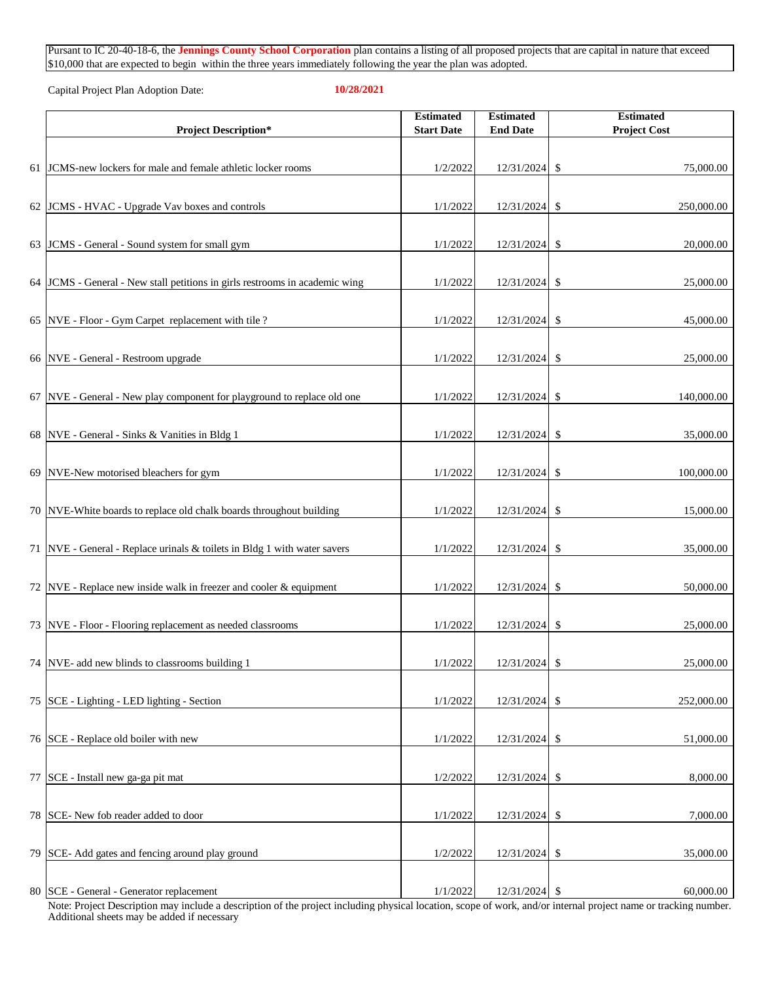Capital Project Plan Adoption Date: **10/28/2021**

|    |                                                                          | <b>Estimated</b>  | <b>Estimated</b> | <b>Estimated</b>    |
|----|--------------------------------------------------------------------------|-------------------|------------------|---------------------|
|    | <b>Project Description*</b>                                              | <b>Start Date</b> | <b>End Date</b>  | <b>Project Cost</b> |
| 61 | JCMS-new lockers for male and female athletic locker rooms               | 1/2/2022          | 12/31/2024 \$    | 75,000.00           |
|    |                                                                          |                   |                  |                     |
| 62 | JCMS - HVAC - Upgrade Vav boxes and controls                             | 1/1/2022          | 12/31/2024 \$    | 250,000.00          |
| 63 | JCMS - General - Sound system for small gym                              | 1/1/2022          | 12/31/2024       | -S<br>20,000.00     |
| 64 | JCMS - General - New stall petitions in girls restrooms in academic wing | 1/1/2022          | $12/31/2024$ \$  | 25,000.00           |
|    |                                                                          |                   |                  |                     |
|    | 65 NVE - Floor - Gym Carpet replacement with tile ?                      | 1/1/2022          | 12/31/2024 \$    | 45,000.00           |
|    | 66 NVE - General - Restroom upgrade                                      | 1/1/2022          | $12/31/2024$ \$  | 25,000.00           |
|    |                                                                          |                   |                  |                     |
| 67 | NVE - General - New play component for playground to replace old one     | 1/1/2022          | 12/31/2024       | 140,000.00<br>\$    |
|    | 68 NVE - General - Sinks & Vanities in Bldg 1                            | 1/1/2022          | 12/31/2024       | -S<br>35,000.00     |
|    |                                                                          |                   |                  |                     |
| 69 | NVE-New motorised bleachers for gym                                      | 1/1/2022          | $12/31/2024$ \$  | 100,000.00          |
|    | 70 NVE-White boards to replace old chalk boards throughout building      | 1/1/2022          | 12/31/2024 \$    | 15,000.00           |
|    |                                                                          |                   |                  |                     |
|    | 71 NVE - General - Replace urinals & toilets in Bldg 1 with water savers | 1/1/2022          | 12/31/2024       | 35,000.00<br>-S     |
|    | 72 NVE - Replace new inside walk in freezer and cooler & equipment       | 1/1/2022          | 12/31/2024 \$    | 50,000.00           |
|    |                                                                          |                   |                  |                     |
|    | 73 NVE - Floor - Flooring replacement as needed classrooms               | 1/1/2022          | $12/31/2024$ \$  | 25,000.00           |
|    | 74 NVE- add new blinds to classrooms building 1                          | 1/1/2022          | $12/31/2024$ \$  | 25,000.00           |
|    |                                                                          |                   |                  |                     |
|    | 75 SCE - Lighting - LED lighting - Section                               | 1/1/2022          | 12/31/2024 \$    | 252,000.00          |
|    | 76 SCE - Replace old boiler with new                                     | 1/1/2022          | 12/31/2024 \$    | 51,000.00           |
|    |                                                                          |                   |                  |                     |
| 77 | SCE - Install new ga-ga pit mat                                          | 1/2/2022          | 12/31/2024 \$    | 8,000.00            |
|    | 78 SCE- New fob reader added to door                                     | 1/1/2022          | 12/31/2024 \$    | 7,000.00            |
|    |                                                                          |                   |                  |                     |
|    | 79 SCE- Add gates and fencing around play ground                         | 1/2/2022          | 12/31/2024 \$    | 35,000.00           |
|    | 80 SCE - General - Generator replacement                                 | 1/1/2022          | 12/31/2024 \$    | 60,000.00           |